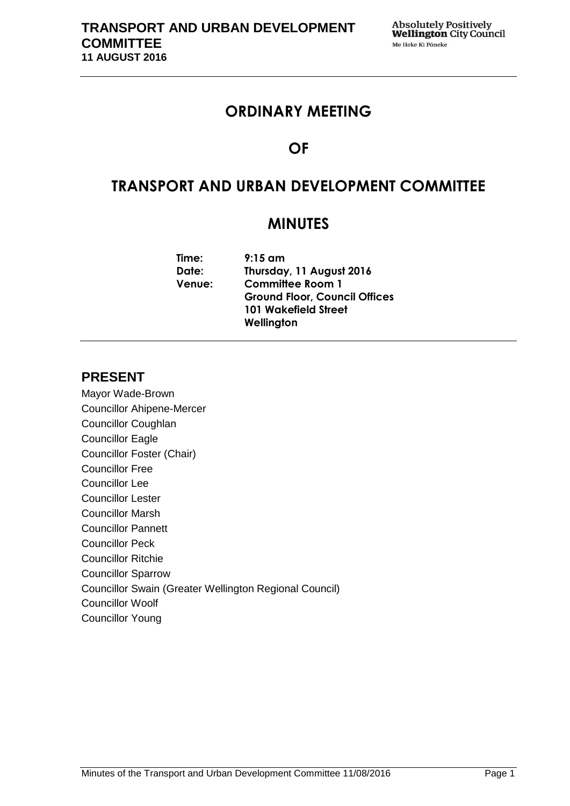# **ORDINARY MEETING**

# **OF**

# **TRANSPORT AND URBAN DEVELOPMENT COMMITTEE**

# **MINUTES**

| Time:         | $9:15$ am                            |  |  |  |
|---------------|--------------------------------------|--|--|--|
| Date:         | Thursday, 11 August 2016             |  |  |  |
| <b>Venue:</b> | <b>Committee Room 1</b>              |  |  |  |
|               | <b>Ground Floor, Council Offices</b> |  |  |  |
|               | <b>101 Wakefield Street</b>          |  |  |  |
|               | Wellington                           |  |  |  |
|               |                                      |  |  |  |

# **PRESENT**

Mayor Wade-Brown Councillor Ahipene-Mercer Councillor Coughlan Councillor Eagle Councillor Foster (Chair) Councillor Free Councillor Lee Councillor Lester Councillor Marsh Councillor Pannett Councillor Peck Councillor Ritchie Councillor Sparrow Councillor Swain (Greater Wellington Regional Council) Councillor Woolf Councillor Young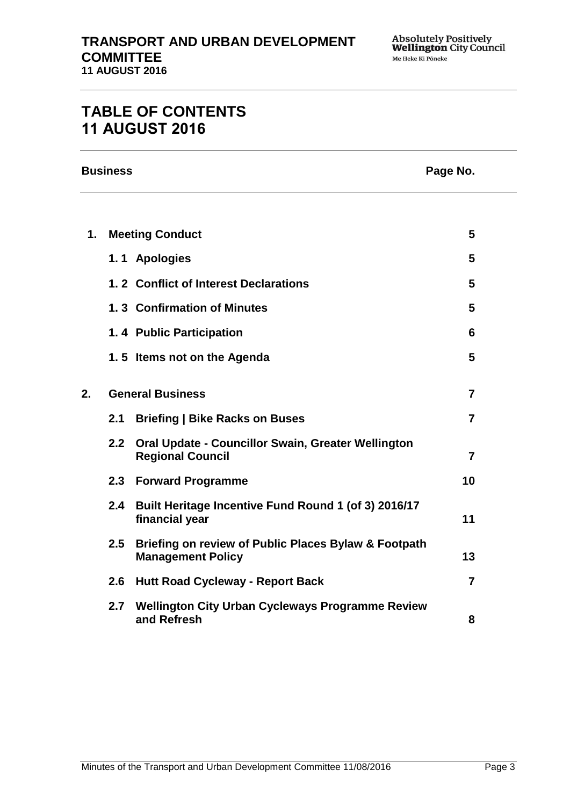# **TABLE OF CONTENTS 11 AUGUST 2016**

**Business Page No.**

| 1. |     | <b>Meeting Conduct</b>                                                               | $5\phantom{.0}$         |
|----|-----|--------------------------------------------------------------------------------------|-------------------------|
|    |     | 1.1 Apologies                                                                        | 5                       |
|    |     | 1.2 Conflict of Interest Declarations                                                | 5                       |
|    |     | 1.3 Confirmation of Minutes                                                          | 5                       |
|    |     | 1.4 Public Participation                                                             | 6                       |
|    |     | 1.5 Items not on the Agenda                                                          | $5\phantom{.0}$         |
| 2. |     | <b>General Business</b>                                                              | $\overline{7}$          |
|    | 2.1 | <b>Briefing   Bike Racks on Buses</b>                                                | $\overline{\mathbf{z}}$ |
|    | 2.2 | <b>Oral Update - Councillor Swain, Greater Wellington</b><br><b>Regional Council</b> | $\overline{7}$          |
|    |     | 2.3 Forward Programme                                                                | 10                      |
|    | 2.4 | Built Heritage Incentive Fund Round 1 (of 3) 2016/17<br>financial year               | 11                      |
|    | 2.5 | Briefing on review of Public Places Bylaw & Footpath<br><b>Management Policy</b>     | 13                      |
|    | 2.6 | <b>Hutt Road Cycleway - Report Back</b>                                              | $\overline{7}$          |
|    | 2.7 | <b>Wellington City Urban Cycleways Programme Review</b><br>and Refresh               | 8                       |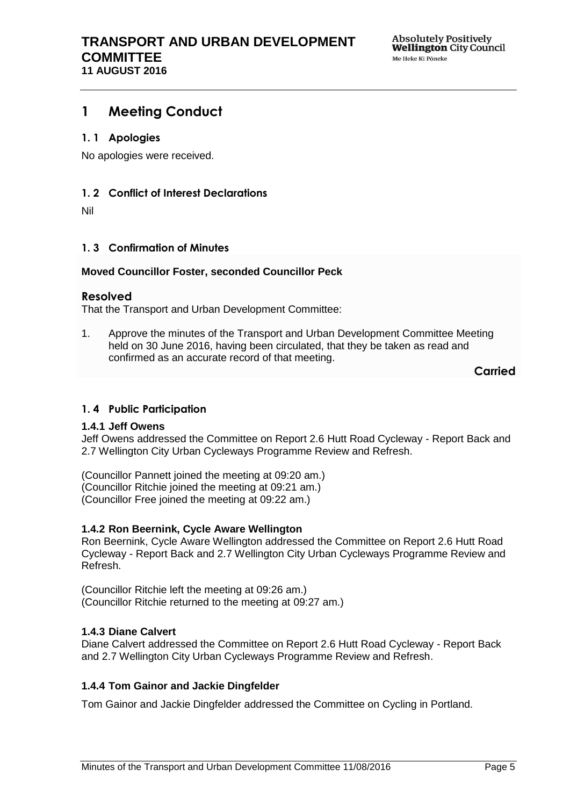# <span id="page-4-0"></span>**1 Meeting Conduct**

# <span id="page-4-1"></span>**1. 1 Apologies**

No apologies were received.

### <span id="page-4-2"></span>**1. 2 Conflict of Interest Declarations**

Nil

### <span id="page-4-3"></span>**1. 3 Confirmation of Minutes**

### **Moved Councillor Foster, seconded Councillor Peck**

### **Resolved**

That the Transport and Urban Development Committee:

1. Approve the minutes of the Transport and Urban Development Committee Meeting held on 30 June 2016, having been circulated, that they be taken as read and confirmed as an accurate record of that meeting.

**Carried**

### <span id="page-4-4"></span>**1. 4 Public Participation**

### **1.4.1 Jeff Owens**

Jeff Owens addressed the Committee on Report 2.6 Hutt Road Cycleway - Report Back and 2.7 Wellington City Urban Cycleways Programme Review and Refresh.

(Councillor Pannett joined the meeting at 09:20 am.) (Councillor Ritchie joined the meeting at 09:21 am.) (Councillor Free joined the meeting at 09:22 am.)

### **1.4.2 Ron Beernink, Cycle Aware Wellington**

Ron Beernink, Cycle Aware Wellington addressed the Committee on Report 2.6 Hutt Road Cycleway - Report Back and 2.7 Wellington City Urban Cycleways Programme Review and Refresh.

(Councillor Ritchie left the meeting at 09:26 am.) (Councillor Ritchie returned to the meeting at 09:27 am.)

### **1.4.3 Diane Calvert**

Diane Calvert addressed the Committee on Report 2.6 Hutt Road Cycleway - Report Back and 2.7 Wellington City Urban Cycleways Programme Review and Refresh.

### **1.4.4 Tom Gainor and Jackie Dingfelder**

Tom Gainor and Jackie Dingfelder addressed the Committee on Cycling in Portland.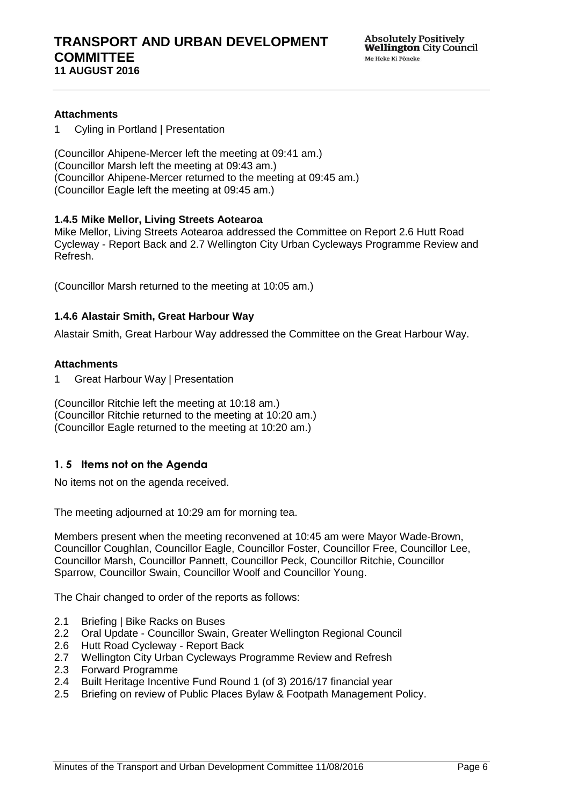### **Attachments**

1 Cyling in Portland | Presentation

(Councillor Ahipene-Mercer left the meeting at 09:41 am.) (Councillor Marsh left the meeting at 09:43 am.) (Councillor Ahipene-Mercer returned to the meeting at 09:45 am.) (Councillor Eagle left the meeting at 09:45 am.)

### **1.4.5 Mike Mellor, Living Streets Aotearoa**

Mike Mellor, Living Streets Aotearoa addressed the Committee on Report 2.6 Hutt Road Cycleway - Report Back and 2.7 Wellington City Urban Cycleways Programme Review and Refresh.

(Councillor Marsh returned to the meeting at 10:05 am.)

### **1.4.6 Alastair Smith, Great Harbour Way**

Alastair Smith, Great Harbour Way addressed the Committee on the Great Harbour Way.

#### **Attachments**

1 Great Harbour Way | Presentation

(Councillor Ritchie left the meeting at 10:18 am.) (Councillor Ritchie returned to the meeting at 10:20 am.) (Councillor Eagle returned to the meeting at 10:20 am.)

## <span id="page-5-0"></span>**1. 5 Items not on the Agenda**

No items not on the agenda received.

The meeting adjourned at 10:29 am for morning tea.

Members present when the meeting reconvened at 10:45 am were Mayor Wade-Brown, Councillor Coughlan, Councillor Eagle, Councillor Foster, Councillor Free, Councillor Lee, Councillor Marsh, Councillor Pannett, Councillor Peck, Councillor Ritchie, Councillor Sparrow, Councillor Swain, Councillor Woolf and Councillor Young.

The Chair changed to order of the reports as follows:

- 2.1 Briefing | Bike Racks on Buses
- 2.2 Oral Update Councillor Swain, Greater Wellington Regional Council
- 2.6 Hutt Road Cycleway Report Back
- 2.7 Wellington City Urban Cycleways Programme Review and Refresh
- 2.3 Forward Programme
- 2.4 Built Heritage Incentive Fund Round 1 (of 3) 2016/17 financial year
- 2.5 Briefing on review of Public Places Bylaw & Footpath Management Policy.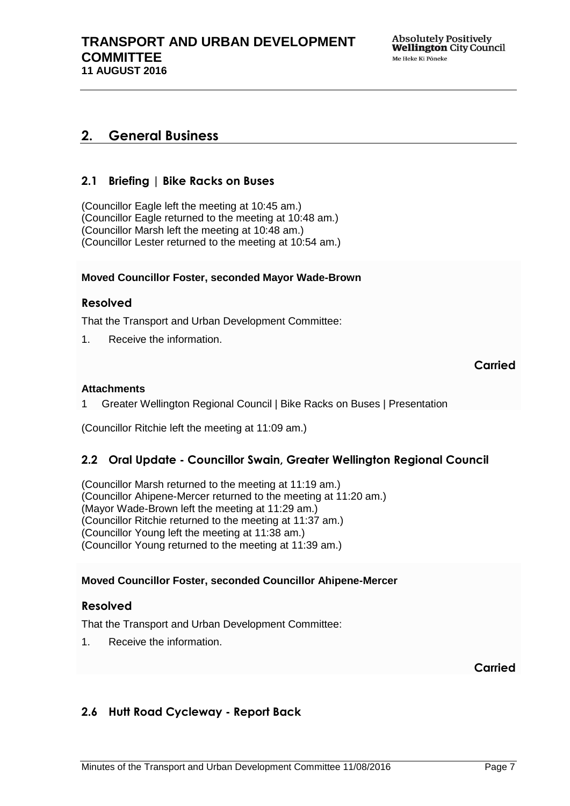# <span id="page-6-0"></span>**2. General Business**

# <span id="page-6-1"></span>**2.1 Briefing | Bike Racks on Buses**

(Councillor Eagle left the meeting at 10:45 am.) (Councillor Eagle returned to the meeting at 10:48 am.) (Councillor Marsh left the meeting at 10:48 am.) (Councillor Lester returned to the meeting at 10:54 am.)

### **Moved Councillor Foster, seconded Mayor Wade-Brown**

### **Resolved**

That the Transport and Urban Development Committee:

1. Receive the information.

# **Carried**

### **Attachments**

1 Greater Wellington Regional Council | Bike Racks on Buses | Presentation

(Councillor Ritchie left the meeting at 11:09 am.)

## <span id="page-6-2"></span>**2.2 Oral Update - Councillor Swain, Greater Wellington Regional Council**

(Councillor Marsh returned to the meeting at 11:19 am.) (Councillor Ahipene-Mercer returned to the meeting at 11:20 am.) (Mayor Wade-Brown left the meeting at 11:29 am.) (Councillor Ritchie returned to the meeting at 11:37 am.) (Councillor Young left the meeting at 11:38 am.) (Councillor Young returned to the meeting at 11:39 am.)

### **Moved Councillor Foster, seconded Councillor Ahipene-Mercer**

### **Resolved**

That the Transport and Urban Development Committee:

1. Receive the information.

**Carried**

# <span id="page-6-3"></span>**2.6 Hutt Road Cycleway - Report Back**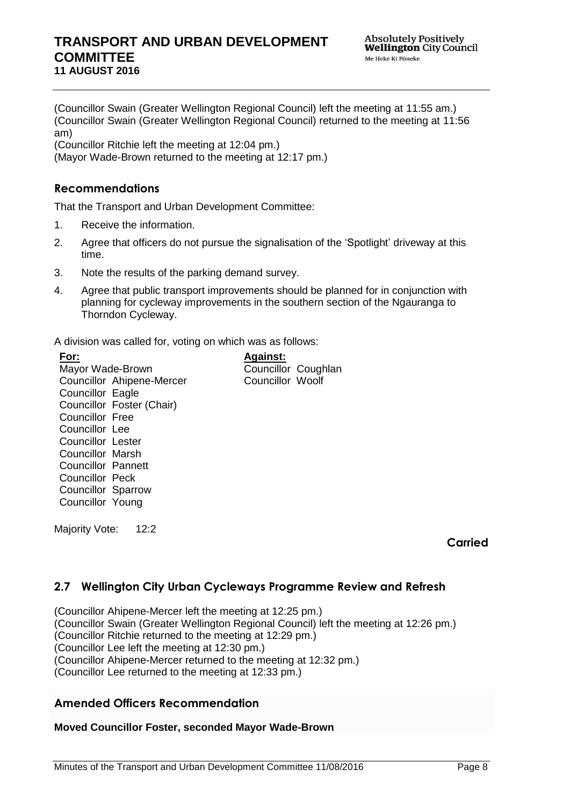**Absolutely Positively Wellington** City Council Me Heke Ki Pöneke

<span id="page-7-0"></span>(Councillor Swain (Greater Wellington Regional Council) left the meeting at 11:55 am.) (Councillor Swain (Greater Wellington Regional Council) returned to the meeting at 11:56 am)

(Councillor Ritchie left the meeting at 12:04 pm.)

(Mayor Wade-Brown returned to the meeting at 12:17 pm.)

### **Recommendations**

That the Transport and Urban Development Committee:

- 1. Receive the information.
- 2. Agree that officers do not pursue the signalisation of the 'Spotlight' driveway at this time.
- 3. Note the results of the parking demand survey.
- 4. Agree that public transport improvements should be planned for in conjunction with planning for cycleway improvements in the southern section of the Ngauranga to Thorndon Cycleway.

**Against:**

Councillor Coughlan Councillor Woolf

A division was called for, voting on which was as follows:

**For:** Mayor Wade-Brown Councillor Ahipene-Mercer Councillor Eagle Councillor Foster (Chair) Councillor Free Councillor Lee Councillor Lester Councillor Marsh Councillor Pannett Councillor Peck Councillor Sparrow Councillor Young

Majority Vote: 12:2

**Carried**

## **2.7 Wellington City Urban Cycleways Programme Review and Refresh**

(Councillor Ahipene-Mercer left the meeting at 12:25 pm.) (Councillor Swain (Greater Wellington Regional Council) left the meeting at 12:26 pm.) (Councillor Ritchie returned to the meeting at 12:29 pm.) (Councillor Lee left the meeting at 12:30 pm.) (Councillor Ahipene-Mercer returned to the meeting at 12:32 pm.) (Councillor Lee returned to the meeting at 12:33 pm.)

## **Amended Officers Recommendation**

### **Moved Councillor Foster, seconded Mayor Wade-Brown**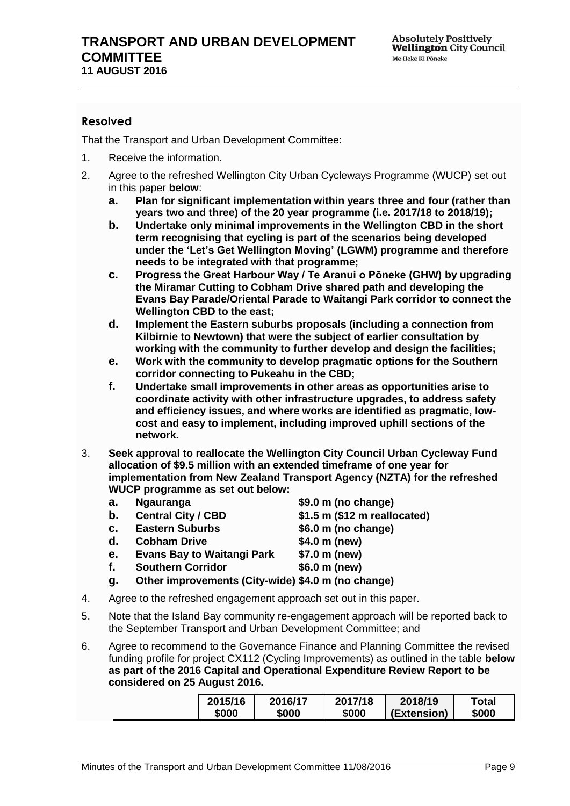# **Resolved**

- 1. Receive the information.
- 2. Agree to the refreshed Wellington City Urban Cycleways Programme (WUCP) set out in this paper **below**:
	- **a. Plan for significant implementation within years three and four (rather than years two and three) of the 20 year programme (i.e. 2017/18 to 2018/19);**
	- **b. Undertake only minimal improvements in the Wellington CBD in the short term recognising that cycling is part of the scenarios being developed under the 'Let's Get Wellington Moving' (LGWM) programme and therefore needs to be integrated with that programme;**
	- **c. Progress the Great Harbour Way / Te Aranui o Pōneke (GHW) by upgrading the Miramar Cutting to Cobham Drive shared path and developing the Evans Bay Parade/Oriental Parade to Waitangi Park corridor to connect the Wellington CBD to the east;**
	- **d. Implement the Eastern suburbs proposals (including a connection from Kilbirnie to Newtown) that were the subject of earlier consultation by working with the community to further develop and design the facilities;**
	- **e. Work with the community to develop pragmatic options for the Southern corridor connecting to Pukeahu in the CBD;**
	- **f. Undertake small improvements in other areas as opportunities arise to coordinate activity with other infrastructure upgrades, to address safety and efficiency issues, and where works are identified as pragmatic, lowcost and easy to implement, including improved uphill sections of the network.**
- 3. **Seek approval to reallocate the Wellington City Council Urban Cycleway Fund allocation of \$9.5 million with an extended timeframe of one year for implementation from New Zealand Transport Agency (NZTA) for the refreshed WUCP programme as set out below:**
	- **a. Ngauranga \$9.0 m (no change)**
	- **b. Central City / CBD \$1.5 m (\$12 m reallocated)**
- - **c. Eastern Suburbs \$6.0 m (no change)**
		-
	- **d. Cobham Drive \$4.0 m (new)**
	- **e. Evans Bay to Waitangi Park \$7.0 m (new)**
	- **f. Southern Corridor \$6.0 m (new)**
	- **g. Other improvements (City-wide) \$4.0 m (no change)**
- 4. Agree to the refreshed engagement approach set out in this paper.
- 5. Note that the Island Bay community re-engagement approach will be reported back to the September Transport and Urban Development Committee; and
- 6. Agree to recommend to the Governance Finance and Planning Committee the revised funding profile for project CX112 (Cycling Improvements) as outlined in the table **below as part of the 2016 Capital and Operational Expenditure Review Report to be considered on 25 August 2016.**

| 2015/16 | 2016/17 | 2017/18 | 2018/19     | ™otal |
|---------|---------|---------|-------------|-------|
| \$000   | \$000   | \$000   | (Extension) | \$000 |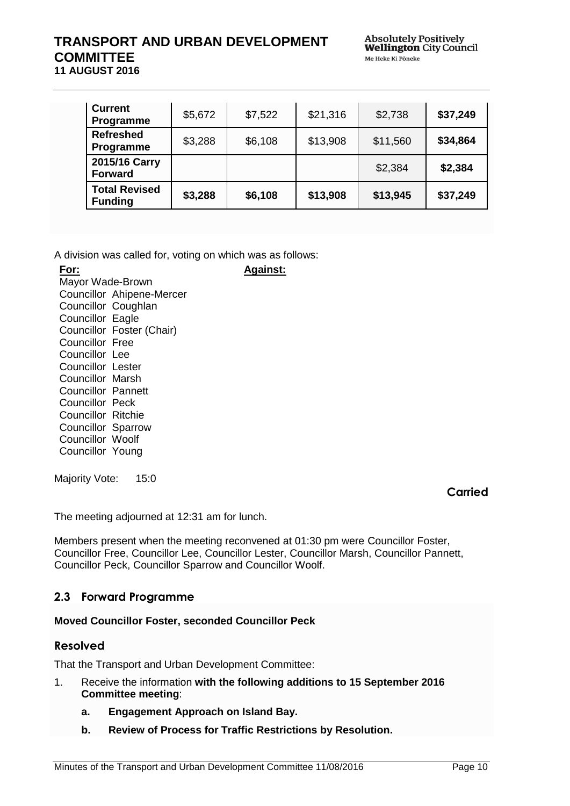| <b>Current</b><br>Programme            | \$5,672 | \$7,522 | \$21,316 | \$2,738  | \$37,249 |
|----------------------------------------|---------|---------|----------|----------|----------|
| <b>Refreshed</b><br>Programme          | \$3,288 | \$6,108 | \$13,908 | \$11,560 | \$34,864 |
| 2015/16 Carry<br><b>Forward</b>        |         |         |          | \$2,384  | \$2,384  |
| <b>Total Revised</b><br><b>Funding</b> | \$3,288 | \$6,108 | \$13,908 | \$13,945 | \$37,249 |

**Against:**

A division was called for, voting on which was as follows:

**For:** Mayor Wade-Brown Councillor Ahipene-Mercer Councillor Coughlan Councillor Eagle Councillor Foster (Chair) Councillor Free Councillor Lee Councillor Lester Councillor Marsh Councillor Pannett Councillor Peck Councillor Ritchie Councillor Sparrow Councillor Woolf Councillor Young

Majority Vote: 15:0

**Carried**

The meeting adjourned at 12:31 am for lunch.

Members present when the meeting reconvened at 01:30 pm were Councillor Foster, Councillor Free, Councillor Lee, Councillor Lester, Councillor Marsh, Councillor Pannett, Councillor Peck, Councillor Sparrow and Councillor Woolf.

# <span id="page-9-0"></span>**2.3 Forward Programme**

### **Moved Councillor Foster, seconded Councillor Peck**

## **Resolved**

- 1. Receive the information **with the following additions to 15 September 2016 Committee meeting**:
	- **a. Engagement Approach on Island Bay.**
	- **b. Review of Process for Traffic Restrictions by Resolution.**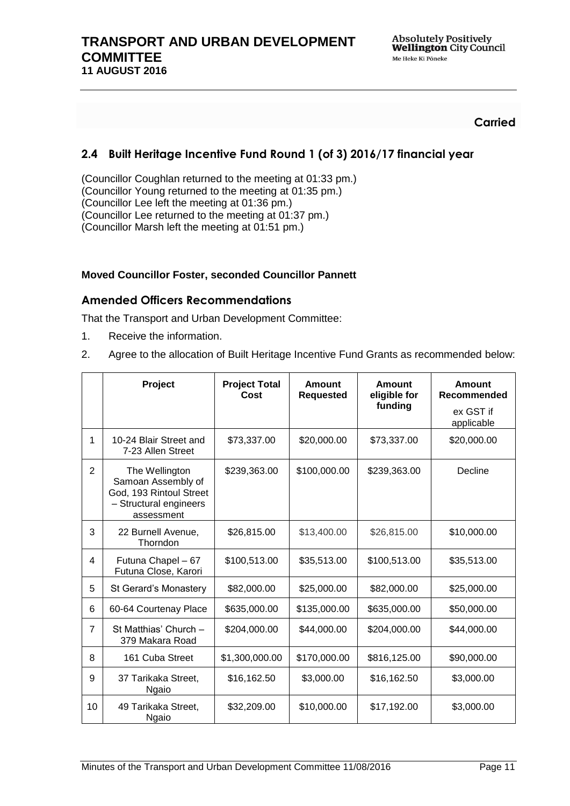## **Carried**

# <span id="page-10-0"></span>**2.4 Built Heritage Incentive Fund Round 1 (of 3) 2016/17 financial year**

(Councillor Coughlan returned to the meeting at 01:33 pm.) (Councillor Young returned to the meeting at 01:35 pm.) (Councillor Lee left the meeting at 01:36 pm.) (Councillor Lee returned to the meeting at 01:37 pm.) (Councillor Marsh left the meeting at 01:51 pm.)

### **Moved Councillor Foster, seconded Councillor Pannett**

### **Amended Officers Recommendations**

- 1. Receive the information.
- 2. Agree to the allocation of Built Heritage Incentive Fund Grants as recommended below:

|                | Project                                                                                                 | <b>Project Total</b><br>Cost | <b>Amount</b><br><b>Requested</b> | Amount<br>eligible for<br>funding | Amount<br>Recommended<br>ex GST if<br>applicable |
|----------------|---------------------------------------------------------------------------------------------------------|------------------------------|-----------------------------------|-----------------------------------|--------------------------------------------------|
| 1              | 10-24 Blair Street and<br>7-23 Allen Street                                                             | \$73,337.00                  | \$20,000.00                       | \$73,337.00                       | \$20,000.00                                      |
| $\overline{2}$ | The Wellington<br>Samoan Assembly of<br>God, 193 Rintoul Street<br>- Structural engineers<br>assessment | \$239,363.00                 | \$100,000.00                      | \$239,363.00                      | Decline                                          |
| 3              | 22 Burnell Avenue,<br>Thorndon                                                                          | \$26,815.00                  | \$13,400.00                       | \$26,815.00                       | \$10,000.00                                      |
| 4              | Futuna Chapel - 67<br>Futuna Close, Karori                                                              | \$100,513.00                 | \$35,513.00                       | \$100,513.00                      | \$35,513.00                                      |
| 5              | St Gerard's Monastery                                                                                   | \$82,000.00                  | \$25,000.00                       | \$82,000.00                       | \$25,000.00                                      |
| 6              | 60-64 Courtenay Place                                                                                   | \$635,000.00                 | \$135,000.00                      | \$635,000.00                      | \$50,000.00                                      |
| $\overline{7}$ | St Matthias' Church -<br>379 Makara Road                                                                | \$204,000.00                 | \$44,000.00                       | \$204,000.00                      | \$44,000.00                                      |
| 8              | 161 Cuba Street                                                                                         | \$1,300,000.00               | \$170,000.00                      | \$816,125.00                      | \$90,000.00                                      |
| 9              | 37 Tarikaka Street,<br><b>Ngaio</b>                                                                     | \$16,162.50                  | \$3,000.00                        | \$16,162.50                       | \$3,000.00                                       |
| 10             | 49 Tarikaka Street,<br><b>Ngaio</b>                                                                     | \$32,209.00                  | \$10,000.00                       | \$17,192.00                       | \$3,000.00                                       |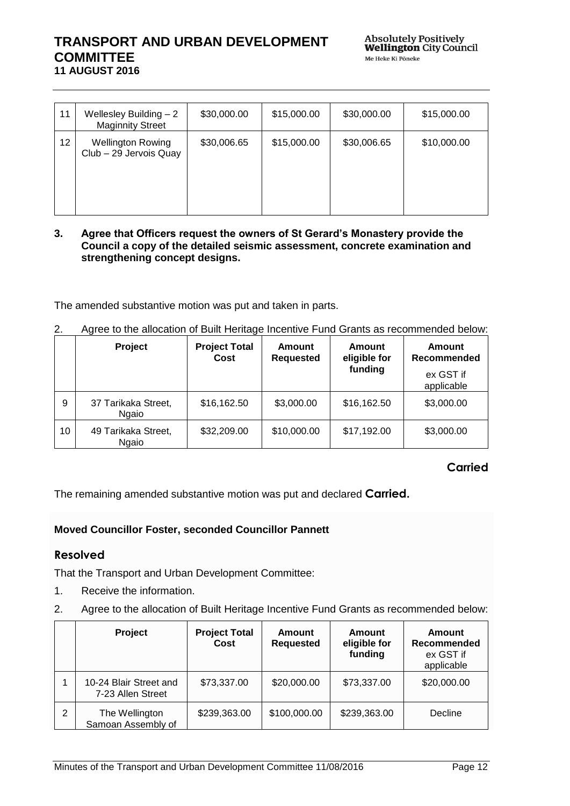| 11 | Wellesley Building $-2$<br><b>Maginnity Street</b> | \$30,000.00 | \$15,000.00 | \$30,000.00 | \$15,000.00 |
|----|----------------------------------------------------|-------------|-------------|-------------|-------------|
| 12 | <b>Wellington Rowing</b><br>Club - 29 Jervois Quay | \$30,006.65 | \$15,000.00 | \$30,006.65 | \$10,000.00 |

#### **3. Agree that Officers request the owners of St Gerard's Monastery provide the Council a copy of the detailed seismic assessment, concrete examination and strengthening concept designs.**

The amended substantive motion was put and taken in parts.

|    | <b>Project</b>                      | <b>Project Total</b><br>Cost | <b>Amount</b><br><b>Requested</b> | Amount<br>eligible for<br>funding | Amount<br>Recommended<br>ex GST if<br>applicable |
|----|-------------------------------------|------------------------------|-----------------------------------|-----------------------------------|--------------------------------------------------|
| 9  | 37 Tarikaka Street,<br><b>Ngaio</b> | \$16,162.50                  | \$3,000.00                        | \$16,162.50                       | \$3,000.00                                       |
| 10 | 49 Tarikaka Street,<br>Ngaio        | \$32,209.00                  | \$10,000.00                       | \$17,192.00                       | \$3,000.00                                       |

## **Carried**

The remaining amended substantive motion was put and declared **Carried.**

## **Moved Councillor Foster, seconded Councillor Pannett**

## **Resolved**

- 1. Receive the information.
- 2. Agree to the allocation of Built Heritage Incentive Fund Grants as recommended below:

|   | Project                                     | <b>Project Total</b><br>Cost | <b>Amount</b><br><b>Requested</b> | Amount<br>eligible for<br>funding | Amount<br>Recommended<br>ex GST if<br>applicable |
|---|---------------------------------------------|------------------------------|-----------------------------------|-----------------------------------|--------------------------------------------------|
|   | 10-24 Blair Street and<br>7-23 Allen Street | \$73,337.00                  | \$20,000.00                       | \$73,337.00                       | \$20,000.00                                      |
| 2 | The Wellington<br>Samoan Assembly of        | \$239,363.00                 | \$100,000.00                      | \$239,363.00                      | Decline                                          |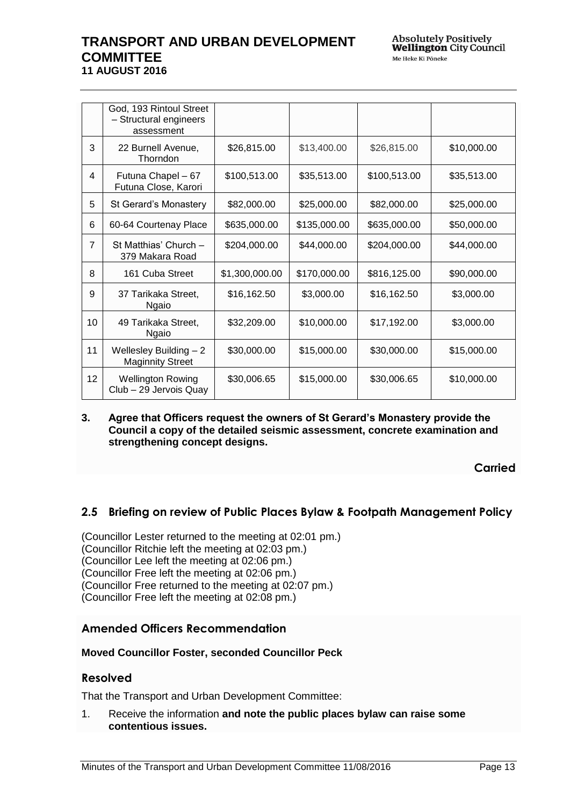|                 | God, 193 Rintoul Street<br>- Structural engineers<br>assessment |                |              |              |             |
|-----------------|-----------------------------------------------------------------|----------------|--------------|--------------|-------------|
| 3               | 22 Burnell Avenue,<br>Thorndon                                  | \$26,815.00    | \$13,400.00  | \$26,815.00  | \$10,000.00 |
| 4               | Futuna Chapel - 67<br>Futuna Close, Karori                      | \$100,513.00   | \$35,513.00  | \$100,513.00 | \$35,513.00 |
| 5               | St Gerard's Monastery                                           | \$82,000.00    | \$25,000.00  | \$82,000.00  | \$25,000.00 |
| 6               | 60-64 Courtenay Place                                           | \$635,000.00   | \$135,000.00 | \$635,000.00 | \$50,000.00 |
| $\overline{7}$  | St Matthias' Church -<br>379 Makara Road                        | \$204,000.00   | \$44,000.00  | \$204,000.00 | \$44,000.00 |
| 8               | 161 Cuba Street                                                 | \$1,300,000.00 | \$170,000.00 | \$816,125.00 | \$90,000.00 |
| 9               | 37 Tarikaka Street,<br>Ngaio                                    | \$16,162.50    | \$3,000.00   | \$16,162.50  | \$3,000.00  |
| 10              | 49 Tarikaka Street,<br>Ngaio                                    | \$32,209.00    | \$10,000.00  | \$17,192.00  | \$3,000.00  |
| 11              | Wellesley Building - 2<br><b>Maginnity Street</b>               | \$30,000.00    | \$15,000.00  | \$30,000.00  | \$15,000.00 |
| 12 <sub>2</sub> | <b>Wellington Rowing</b><br>Club - 29 Jervois Quay              | \$30,006.65    | \$15,000.00  | \$30,006.65  | \$10,000.00 |

### **3. Agree that Officers request the owners of St Gerard's Monastery provide the Council a copy of the detailed seismic assessment, concrete examination and strengthening concept designs.**

**Carried**

# <span id="page-12-0"></span>**2.5 Briefing on review of Public Places Bylaw & Footpath Management Policy**

(Councillor Lester returned to the meeting at 02:01 pm.) (Councillor Ritchie left the meeting at 02:03 pm.) (Councillor Lee left the meeting at 02:06 pm.) (Councillor Free left the meeting at 02:06 pm.) (Councillor Free returned to the meeting at 02:07 pm.) (Councillor Free left the meeting at 02:08 pm.)

## **Amended Officers Recommendation**

### **Moved Councillor Foster, seconded Councillor Peck**

### **Resolved**

That the Transport and Urban Development Committee:

1. Receive the information **and note the public places bylaw can raise some contentious issues.**